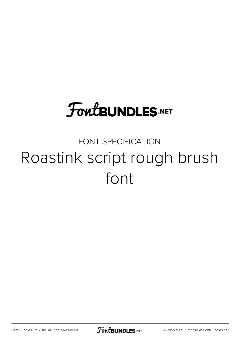## **FoutBUNDLES.NET**

## FONT SPECIFICATION Roastink script rough brush font

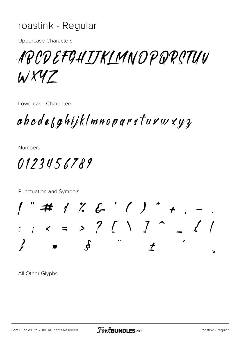## roastink - Regular

**Uppercase Characters** 

ABODEFGHIJKLMNOPQRSTUV WX47

Lowercase Characters

abode<sub>b</sub>ghijklmnoparsturwxyz

**Numbers** 

0123456789

Punctuation and Symbols

"#  $\frac{1}{2}$  % & '() \* + .<br>; < = > ? [ \ ] ^ - $\mathcal{S}_{\cdot}$  $\overline{\mathbf{S}}$ 

All Other Glyphs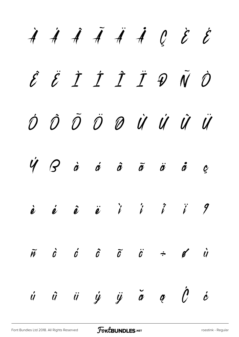$\dot{A}$   $\dot{A}$   $\ddot{A}$   $\dot{A}$   $\dot{A}$   $\dot{C}$   $\dot{C}$ Ê Ë Ì Í Î Ï Ð Ñ Ò Ó Ô Õ Ö Ø Ù Ú Û Ü  $\dot{V}$   $\beta$  à  $\dot{a}$   $\dot{a}$   $\ddot{a}$   $\ddot{a}$   $\ddot{a}$   $\dot{c}$   $\dot{c}$ è é ê ë ì í î ï ð  $\tilde{m}$   $\dot{c}$   $\tilde{c}$   $\tilde{c}$   $\tilde{c}$   $\tilde{c}$   $\tilde{c}$   $\tilde{c}$   $\tilde{c}$   $\tilde{d}$ ú û ü ý ÿ ă ą Ć ć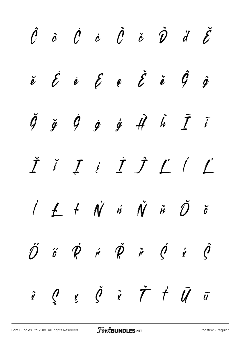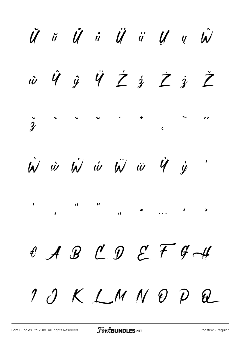$\ddot{U}$   $\ddot{u}$   $\ddot{U}$   $\ddot{u}$   $\ddot{U}$   $\ddot{u}$   $\ddot{U}$   $\ddot{u}$   $\ddot{u}$  $\dot{w}\quad\hat{y}\quad\hat{y}\quad\hat{y}\quad\hat{z}\quad\hat{y}\quad\hat{z}\quad\hat{z}\quad\hat{z}$  $\frac{1}{2} \sum_{i=1}^{n} \frac{1}{2} \sum_{j=1}^{n} \frac{1}{2} \sum_{j=1}^{n} \frac{1}{2} \sum_{j=1}^{n} \frac{1}{2} \sum_{j=1}^{n} \frac{1}{2} \sum_{j=1}^{n} \frac{1}{2} \sum_{j=1}^{n} \frac{1}{2} \sum_{j=1}^{n} \frac{1}{2} \sum_{j=1}^{n} \frac{1}{2} \sum_{j=1}^{n} \frac{1}{2} \sum_{j=1}^{n} \frac{1}{2} \sum_{j=1}^{n} \frac{1}{2} \sum_{j=1}^{n$  $\frac{1}{3}$  $\dot{W}$   $\dot{w}$   $\dot{W}$   $\dot{w}$   $\ddot{W}$   $\ddot{w}$   $\dot{W}$   $\dot{y}$  $\mathbf{u}$  $\boldsymbol{H}$  $\left\langle \right\rangle$  $\boldsymbol{u}$  $\mathbf{A}$ & A B C D E F G H  $10KLMNDPL$